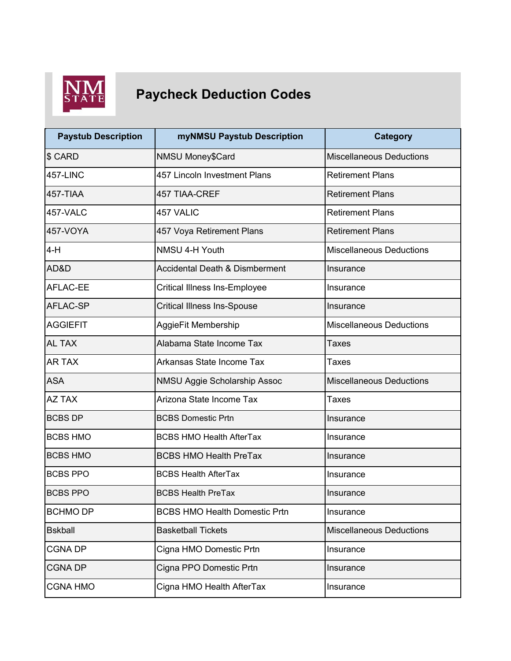

## **NM**<br>STATE Paycheck Deduction Codes

| <b>Paystub Description</b> | myNMSU Paystub Description                | <b>Category</b>                 |
|----------------------------|-------------------------------------------|---------------------------------|
| \$ CARD                    | NMSU Money\$Card                          | <b>Miscellaneous Deductions</b> |
| <b>457-LINC</b>            | 457 Lincoln Investment Plans              | <b>Retirement Plans</b>         |
| 457-TIAA                   | <b>457 TIAA-CREF</b>                      | <b>Retirement Plans</b>         |
| 457-VALC                   | 457 VALIC                                 | <b>Retirement Plans</b>         |
| 457-VOYA                   | 457 Voya Retirement Plans                 | <b>Retirement Plans</b>         |
| 4-H                        | NMSU 4-H Youth                            | <b>Miscellaneous Deductions</b> |
| AD&D                       | <b>Accidental Death &amp; Dismberment</b> | Insurance                       |
| <b>AFLAC-EE</b>            | <b>Critical Illness Ins-Employee</b>      | Insurance                       |
| <b>AFLAC-SP</b>            | <b>Critical Illness Ins-Spouse</b>        | Insurance                       |
| <b>AGGIEFIT</b>            | AggieFit Membership                       | <b>Miscellaneous Deductions</b> |
| AL TAX                     | Alabama State Income Tax                  | Taxes                           |
| <b>AR TAX</b>              | Arkansas State Income Tax                 | <b>Taxes</b>                    |
| <b>ASA</b>                 | NMSU Aggie Scholarship Assoc              | <b>Miscellaneous Deductions</b> |
| AZ TAX                     | Arizona State Income Tax                  | <b>Taxes</b>                    |
| <b>BCBS DP</b>             | <b>BCBS Domestic Prtn</b>                 | Insurance                       |
| <b>BCBS HMO</b>            | <b>BCBS HMO Health AfterTax</b>           | Insurance                       |
| <b>BCBS HMO</b>            | <b>BCBS HMO Health PreTax</b>             | Insurance                       |
| <b>BCBS PPO</b>            | <b>BCBS Health AfterTax</b>               | Insurance                       |
| <b>BCBS PPO</b>            | <b>BCBS Health PreTax</b>                 | Insurance                       |
| <b>BCHMO DP</b>            | <b>BCBS HMO Health Domestic Prtn</b>      | Insurance                       |
| <b>Bskball</b>             | <b>Basketball Tickets</b>                 | <b>Miscellaneous Deductions</b> |
| <b>CGNA DP</b>             | Cigna HMO Domestic Prtn                   | Insurance                       |
| <b>CGNA DP</b>             | Cigna PPO Domestic Prtn                   | Insurance                       |
| <b>CGNA HMO</b>            | Cigna HMO Health AfterTax                 | Insurance                       |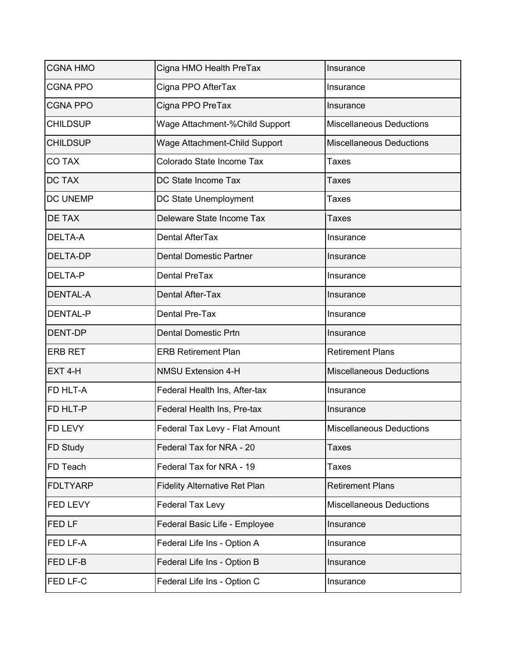| <b>CGNA HMO</b> | Cigna HMO Health PreTax              | Insurance                       |
|-----------------|--------------------------------------|---------------------------------|
| <b>CGNA PPO</b> | Cigna PPO AfterTax                   | Insurance                       |
| <b>CGNA PPO</b> | Cigna PPO PreTax                     | Insurance                       |
| <b>CHILDSUP</b> | Wage Attachment-%Child Support       | <b>Miscellaneous Deductions</b> |
| <b>CHILDSUP</b> | Wage Attachment-Child Support        | <b>Miscellaneous Deductions</b> |
| <b>CO TAX</b>   | Colorado State Income Tax            | Taxes                           |
| <b>DC TAX</b>   | DC State Income Tax                  | <b>Taxes</b>                    |
| DC UNEMP        | DC State Unemployment                | <b>Taxes</b>                    |
| DE TAX          | Deleware State Income Tax            | Taxes                           |
| DELTA-A         | <b>Dental AfterTax</b>               | Insurance                       |
| DELTA-DP        | <b>Dental Domestic Partner</b>       | Insurance                       |
| <b>DELTA-P</b>  | <b>Dental PreTax</b>                 | Insurance                       |
| <b>DENTAL-A</b> | <b>Dental After-Tax</b>              | Insurance                       |
| <b>DENTAL-P</b> | Dental Pre-Tax                       | Insurance                       |
| <b>DENT-DP</b>  | <b>Dental Domestic Prtn</b>          | Insurance                       |
| <b>ERB RET</b>  | <b>ERB Retirement Plan</b>           | <b>Retirement Plans</b>         |
| EXT 4-H         | <b>NMSU Extension 4-H</b>            | <b>Miscellaneous Deductions</b> |
| FD HLT-A        | Federal Health Ins, After-tax        | Insurance                       |
| FD HLT-P        | Federal Health Ins, Pre-tax          | Insurance                       |
| FD LEVY         | Federal Tax Levy - Flat Amount       | <b>Miscellaneous Deductions</b> |
| FD Study        | Federal Tax for NRA - 20             | Taxes                           |
| FD Teach        | Federal Tax for NRA - 19             | Taxes                           |
| <b>FDLTYARP</b> | <b>Fidelity Alternative Ret Plan</b> | <b>Retirement Plans</b>         |
| FED LEVY        | <b>Federal Tax Levy</b>              | <b>Miscellaneous Deductions</b> |
| FED LF          | Federal Basic Life - Employee        | Insurance                       |
| FED LF-A        | Federal Life Ins - Option A          | Insurance                       |
| FED LF-B        | Federal Life Ins - Option B          | Insurance                       |
| FED LF-C        | Federal Life Ins - Option C          | Insurance                       |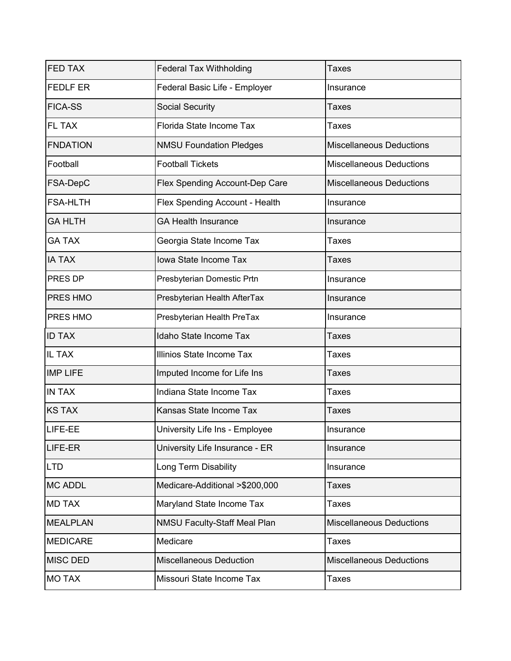| <b>FED TAX</b>  | <b>Federal Tax Withholding</b>        | <b>Taxes</b>                    |
|-----------------|---------------------------------------|---------------------------------|
| <b>FEDLF ER</b> | Federal Basic Life - Employer         | Insurance                       |
| <b>FICA-SS</b>  | <b>Social Security</b>                | Taxes                           |
| FL TAX          | Florida State Income Tax              | Taxes                           |
| <b>FNDATION</b> | <b>NMSU Foundation Pledges</b>        | <b>Miscellaneous Deductions</b> |
| Football        | <b>Football Tickets</b>               | <b>Miscellaneous Deductions</b> |
| FSA-DepC        | <b>Flex Spending Account-Dep Care</b> | <b>Miscellaneous Deductions</b> |
| <b>FSA-HLTH</b> | Flex Spending Account - Health        | Insurance                       |
| <b>GA HLTH</b>  | <b>GA Health Insurance</b>            | Insurance                       |
| <b>GA TAX</b>   | Georgia State Income Tax              | Taxes                           |
| <b>IA TAX</b>   | Iowa State Income Tax                 | <b>Taxes</b>                    |
| PRES DP         | Presbyterian Domestic Prtn            | Insurance                       |
| PRES HMO        | Presbyterian Health AfterTax          | Insurance                       |
| PRES HMO        | Presbyterian Health PreTax            | Insurance                       |
| <b>ID TAX</b>   | Idaho State Income Tax                | Taxes                           |
| IL TAX          | Illinios State Income Tax             | Taxes                           |
| <b>IMP LIFE</b> | Imputed Income for Life Ins           | Taxes                           |
| <b>IN TAX</b>   | Indiana State Income Tax              | Taxes                           |
| <b>KS TAX</b>   | Kansas State Income Tax               | Taxes                           |
| LIFE-EE         | University Life Ins - Employee        | Insurance                       |
| LIFE-ER         | University Life Insurance - ER        | Insurance                       |
| <b>LTD</b>      | <b>Long Term Disability</b>           | Insurance                       |
| <b>MC ADDL</b>  | Medicare-Additional >\$200,000        | Taxes                           |
| <b>MD TAX</b>   | Maryland State Income Tax             | Taxes                           |
| <b>MEALPLAN</b> | <b>NMSU Faculty-Staff Meal Plan</b>   | <b>Miscellaneous Deductions</b> |
| <b>MEDICARE</b> | Medicare                              | Taxes                           |
| <b>MISC DED</b> | <b>Miscellaneous Deduction</b>        | <b>Miscellaneous Deductions</b> |
| <b>MO TAX</b>   | Missouri State Income Tax             | <b>Taxes</b>                    |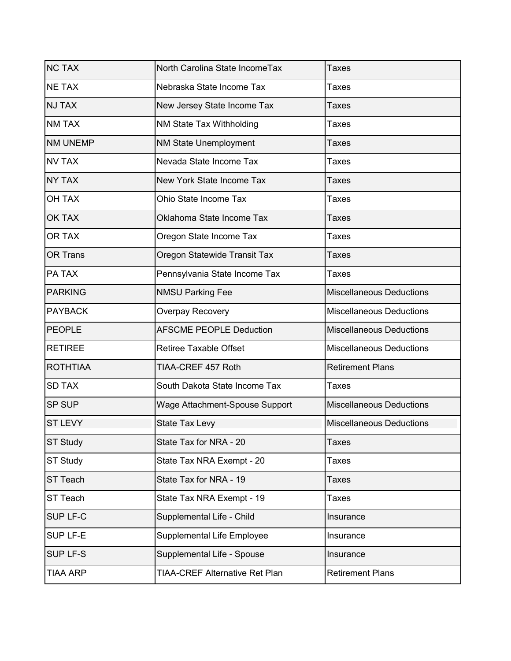| <b>NC TAX</b>   | North Carolina State IncomeTax        | Taxes                           |
|-----------------|---------------------------------------|---------------------------------|
| <b>NE TAX</b>   | Nebraska State Income Tax             | Taxes                           |
| <b>NJ TAX</b>   | New Jersey State Income Tax           | Taxes                           |
| <b>NM TAX</b>   | NM State Tax Withholding              | <b>Taxes</b>                    |
| <b>NM UNEMP</b> | NM State Unemployment                 | Taxes                           |
| <b>NV TAX</b>   | Nevada State Income Tax               | Taxes                           |
| <b>NY TAX</b>   | New York State Income Tax             | <b>Taxes</b>                    |
| <b>OH TAX</b>   | Ohio State Income Tax                 | <b>Taxes</b>                    |
| <b>OK TAX</b>   | Oklahoma State Income Tax             | <b>Taxes</b>                    |
| OR TAX          | Oregon State Income Tax               | Taxes                           |
| <b>OR Trans</b> | Oregon Statewide Transit Tax          | Taxes                           |
| PA TAX          | Pennsylvania State Income Tax         | <b>Taxes</b>                    |
| <b>PARKING</b>  | <b>NMSU Parking Fee</b>               | <b>Miscellaneous Deductions</b> |
| <b>PAYBACK</b>  | Overpay Recovery                      | <b>Miscellaneous Deductions</b> |
| <b>PEOPLE</b>   | <b>AFSCME PEOPLE Deduction</b>        | <b>Miscellaneous Deductions</b> |
| <b>RETIREE</b>  | <b>Retiree Taxable Offset</b>         | <b>Miscellaneous Deductions</b> |
| <b>ROTHTIAA</b> | TIAA-CREF 457 Roth                    | <b>Retirement Plans</b>         |
| <b>SD TAX</b>   | South Dakota State Income Tax         | <b>Taxes</b>                    |
| <b>SP SUP</b>   | Wage Attachment-Spouse Support        | <b>Miscellaneous Deductions</b> |
| <b>ST LEVY</b>  | <b>State Tax Levy</b>                 | <b>Miscellaneous Deductions</b> |
| <b>ST Study</b> | State Tax for NRA - 20                | <b>Taxes</b>                    |
| ST Study        | State Tax NRA Exempt - 20             | Taxes                           |
| ST Teach        | State Tax for NRA - 19                | Taxes                           |
| <b>ST Teach</b> | State Tax NRA Exempt - 19             | Taxes                           |
| SUP LF-C        | Supplemental Life - Child             | Insurance                       |
| SUP LF-E        | Supplemental Life Employee            | Insurance                       |
| <b>SUP LF-S</b> | Supplemental Life - Spouse            | Insurance                       |
| TIAA ARP        | <b>TIAA-CREF Alternative Ret Plan</b> | <b>Retirement Plans</b>         |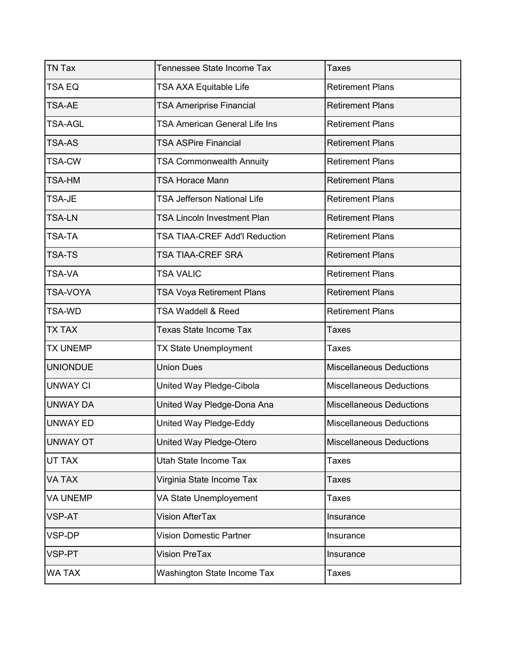| <b>TN Tax</b>   | Tennessee State Income Tax         | <b>Taxes</b>                    |
|-----------------|------------------------------------|---------------------------------|
| TSA EQ          | TSA AXA Equitable Life             | <b>Retirement Plans</b>         |
| <b>TSA-AE</b>   | <b>TSA Ameriprise Financial</b>    | <b>Retirement Plans</b>         |
| <b>TSA-AGL</b>  | TSA American General Life Ins      | <b>Retirement Plans</b>         |
| <b>TSA-AS</b>   | <b>TSA ASPire Financial</b>        | <b>Retirement Plans</b>         |
| <b>TSA-CW</b>   | <b>TSA Commonwealth Annuity</b>    | <b>Retirement Plans</b>         |
| <b>TSA-HM</b>   | <b>TSA Horace Mann</b>             | <b>Retirement Plans</b>         |
| TSA-JE          | <b>TSA Jefferson National Life</b> | <b>Retirement Plans</b>         |
| <b>TSA-LN</b>   | <b>TSA Lincoln Investment Plan</b> | <b>Retirement Plans</b>         |
| TSA-TA          | TSA TIAA-CREF Add'I Reduction      | <b>Retirement Plans</b>         |
| <b>TSA-TS</b>   | TSA TIAA-CREF SRA                  | <b>Retirement Plans</b>         |
| <b>TSA-VA</b>   | <b>TSA VALIC</b>                   | <b>Retirement Plans</b>         |
| <b>TSA-VOYA</b> | TSA Voya Retirement Plans          | <b>Retirement Plans</b>         |
| TSA-WD          | <b>TSA Waddell &amp; Reed</b>      | <b>Retirement Plans</b>         |
| <b>TX TAX</b>   | Texas State Income Tax             | Taxes                           |
| <b>TX UNEMP</b> | TX State Unemployment              | <b>Taxes</b>                    |
| <b>UNIONDUE</b> | <b>Union Dues</b>                  | <b>Miscellaneous Deductions</b> |
| <b>UNWAY CI</b> | United Way Pledge-Cibola           | <b>Miscellaneous Deductions</b> |
| <b>UNWAY DA</b> | United Way Pledge-Dona Ana         | <b>Miscellaneous Deductions</b> |
| <b>UNWAY ED</b> | United Way Pledge-Eddy             | <b>Miscellaneous Deductions</b> |
| <b>UNWAY OT</b> | United Way Pledge-Otero            | <b>Miscellaneous Deductions</b> |
| UT TAX          | Utah State Income Tax              | Taxes                           |
| VA TAX          | Virginia State Income Tax          | <b>Taxes</b>                    |
| <b>VA UNEMP</b> | VA State Unemployement             | Taxes                           |
| <b>VSP-AT</b>   | Vision AfterTax                    | Insurance                       |
| VSP-DP          | <b>Vision Domestic Partner</b>     | Insurance                       |
| <b>VSP-PT</b>   | <b>Vision PreTax</b>               | Insurance                       |
| <b>WA TAX</b>   | Washington State Income Tax        | Taxes                           |